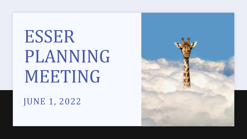# ESSER PLANNING MEETING

JUNE 1, 2022

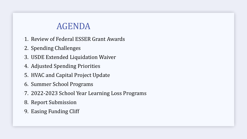# AGENDA

- •1. Review of Federal ESSER Grant Awards
- •2. Spending Challenges
- •3. USDE Extended Liquidation Waiver
- •4. Adjusted Spending Priorities
- •5. HVAC and Capital Project Update
- •6. Summer School Programs
- •7. 2022-2023 School Year Learning Loss Programs
- •8. Report Submission
- •9. Easing Funding Cliff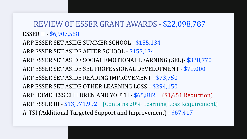REVIEW OF ESSER GRANT AWARDS - \$22,098,787 ESSER II - \$6,907,558 ARP ESSER SET ASIDE SUMMER SCHOOL - \$155,134 ARP ESSER SET ASIDE AFTER SCHOOL - \$155,134 ARP ESSER SET ASIDE SOCIAL EMOTIONAL LEARNING (SEL)- \$328,770 ARP ESSER SET ASIDE SEL PROFESSIONAL DEVELOPMENT - \$79,000 ARP ESSER SET ASIDE READING IMPROVEMENT - \$73,750 ARP ESSER SET ASIDE OTHER LEARNING LOSS – \$294,150 ARP HOMELESS CHILDREN AND YOUTH - \$65,882 (\$1,651 Reduction) ARP ESSER III - \$13,971,992 (Contains 20% Learning Loss Requirement) A-TSI (Additional Targeted Support and Improvement) - \$67,417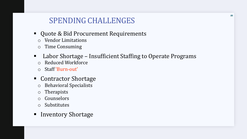# SPENDING CHALLENGES

- Quote & Bid Procurement Requirements
	- o Vendor Limitations
	- o Time Consuming
- Labor Shortage Insufficient Staffing to Operate Programs
	- o Reduced Workforce
	- o Staff 'Burn-out'
- Contractor Shortage
	- o Behavioral Specialists
	- o Therapists
	- o Counselors
	- o Substitutes
- Inventory Shortage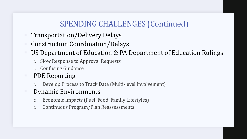# SPENDING CHALLENGES (Continued)

- Transportation/Delivery Delays
- Construction Coordination/Delays
- US Department of Education & PA Department of Education Rulings
	- Slow Response to Approval Requests
	- o Confusing Guidance

# **PDE Reporting**

o Develop Process to Track Data (Multi-level Involvement)

## **Dynamic Environments**

- o Economic Impacts (Fuel, Food, Family Lifestyles)
- o Continuous Program/Plan Reassessments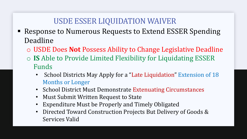# USDE ESSER LIQUIDATION WAIVER

- Response to Numerous Requests to Extend ESSER Spending Deadline
	- o USDE Does **Not** Possess Ability to Change Legislative Deadline
	- o **IS** Able to Provide Limited Flexibility for Liquidating ESSER Funds
		- School Districts May Apply for a "Late Liquidation" Extension of 18 Months or Longer
		- School District Must Demonstrate Extenuating Circumstances
		- Must Submit Written Request to State
		- Expenditure Must be Properly and Timely Obligated
		- Directed Toward Construction Projects But Delivery of Goods & Services Valid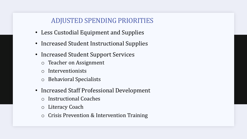## ADJUSTED SPENDING PRIORITIES

- Less Custodial Equipment and Supplies
- Increased Student Instructional Supplies
- Increased Student Support Services
	- o Teacher on Assignment
	- o Interventionists
	- o Behavioral Specialists
- Increased Staff Professional Development
	- o Instructional Coaches
	- o Literacy Coach
	- o Crisis Prevention & Intervention Training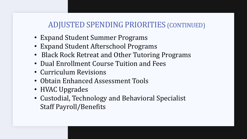# ADJUSTED SPENDING PRIORITIES (CONTINUED)

- Expand Student Summer Programs
- Expand Student Afterschool Programs
- Black Rock Retreat and Other Tutoring Programs
- Dual Enrollment Course Tuition and Fees
- Curriculum Revisions
- Obtain Enhanced Assessment Tools
- HVAC Upgrades
- Custodial, Technology and Behavioral Specialist Staff Payroll/Benefits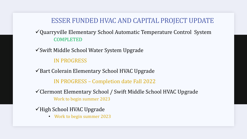## ESSER FUNDED HVAC AND CAPITAL PROJECT UPDATE

#### ✓Quarryville Elementary School Automatic Temperature Control System COMPLETED

✓Swift Middle School Water System Upgrade

#### IN PROGRESS

✓Bart Colerain Elementary School HVAC Upgrade

IN PROGRESS – Completion date Fall 2022

✓Clermont Elementary School / Swift Middle School HVAC Upgrade Work to begin summer 2023

✓High School HVAC Upgrade

• Work to begin summer 2023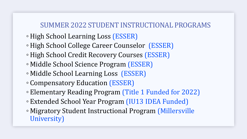## SUMMER 2022 STUDENT INSTRUCTIONAL PROGRAMS

- ◦High School Learning Loss (ESSER)
- ◦High School College Career Counselor (ESSER)
- ◦High School Credit Recovery Courses (ESSER)
- Middle School Science Program (ESSER)
- Middle School Learning Loss (ESSER)
- Compensatory Education (ESSER)
- Elementary Reading Program (Title 1 Funded for 2022)
- Extended School Year Program (IU13 IDEA Funded)
- Migratory Student Instructional Program (Millersville University)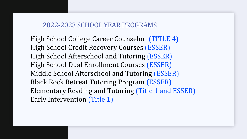#### 2022-2023 SCHOOL YEAR PROGRAMS

High School College Career Counselor (TITLE 4) High School Credit Recovery Courses (ESSER) High School Afterschool and Tutoring (ESSER) High School Dual Enrollment Courses (ESSER) Middle School Afterschool and Tutoring (ESSER) Black Rock Retreat Tutoring Program (ESSER) Elementary Reading and Tutoring (Title 1 and ESSER) Early Intervention (Title 1)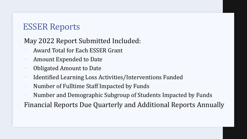# ESSER Reports

## May 2022 Report Submitted Included:

- Award Total for Each ESSER Grant
- Amount Expended to Date
- **Obligated Amount to Date**
- Identified Learning Loss Activities/Interventions Funded
- Number of Fulltime Staff Impacted by Funds
- Number and Demographic Subgroup of Students Impacted by Funds

Financial Reports Due Quarterly and Additional Reports Annually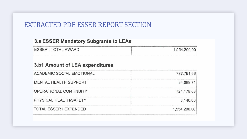### EXTRACTED PDE ESSER REPORT SECTION

#### 3.a ESSER Mandatory Subgrants to LEAs

| <b>ESSER I TOTAL AWARD</b> | 1,554,200.00 |
|----------------------------|--------------|
|                            |              |

#### 3.b1 Amount of LEA expenditures

| <b>ACADEMIC SOCIAL EMOTIONAL</b> | 787,791.66   |  |  |  |
|----------------------------------|--------------|--|--|--|
| MENTAL HEALTH SUPPORT            | 34,089.71    |  |  |  |
| OPERATIONAL CONTINUITY           | 724,178.63   |  |  |  |
| PHYSICAL HEALTH/SAFETY           | 8,140.00     |  |  |  |
| <b>TOTAL ESSER I EXPENDED</b>    | 1,554,200.00 |  |  |  |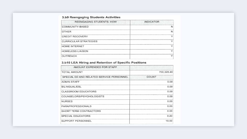#### 3.b9 Reengaging Students Activities

| <b>REENGAGING STUDENTS: HOW</b> | <b>INDICATOR</b> |  |  |  |  |
|---------------------------------|------------------|--|--|--|--|
| COMMUNITY-BASED                 |                  |  |  |  |  |
| <b>OTHER</b>                    |                  |  |  |  |  |
| <b>CREDIT RECOVERY</b>          |                  |  |  |  |  |
| <b>CURRICULAR STRATEGIES</b>    |                  |  |  |  |  |
| <b>HOME INTERNET</b>            |                  |  |  |  |  |
| <b>HOMELESS LIAISON</b>         |                  |  |  |  |  |
| <b>OUTREACH</b>                 |                  |  |  |  |  |

#### 3.b10 LEA Hiring and Retention of Specific Positions

| AMOUNT EXPENDED FOR STAFF                |              |  |  |  |
|------------------------------------------|--------------|--|--|--|
| <b>TOTAL AMOUNT</b>                      | 700,328.40   |  |  |  |
| SPECIAL ED AND RELATED SERVICE PERSONNEL | <b>COUNT</b> |  |  |  |
| <b>ADMIN STAFF</b>                       | 0.00         |  |  |  |
| <b>BILINGUAL/ESL</b>                     | 0.00         |  |  |  |
| <b>CLASSROOM EDUCATORS</b>               | 0.00         |  |  |  |
| COUNSELORS/PSYCHOLOGISTS                 | 0.00         |  |  |  |
| <b>NURSES</b>                            | 0.00         |  |  |  |
| <b>PARAPROFESSIONALS</b>                 | 0.00         |  |  |  |
| <b>SHORT TERM CONTRACTORS</b>            | 0.00         |  |  |  |
| <b>SPECIAL EDUCATORS</b>                 | 0.20         |  |  |  |
| SUPPORT PERSONNEL                        | 10.00        |  |  |  |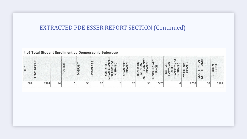#### EXTRACTED PDE ESSER REPORT SECTION (Continued)

#### 4.b2 Total Student Enrollment by Demographic Subgroup

| E   | INCOME<br>><br>$\vec{o}$ | $\vec{u}$ | FOSTER | <b>ANT</b><br><b>MIGR</b> | ESS<br>HOMEL | $\zeta$<br>IAN ALASK<br>ATIVE NO<br>HISPANIC<br>$\overline{S}$<br>ERIC<br>$\equiv$<br>ヺ | ASIAN NOT       | ž<br>$\frac{R}{C}$<br>$\circ$<br>$-$<br>ァ<br>$\mathsf{Z}$<br><b>CK</b><br>$\overline{N}$<br>RISP <sub>N</sub><br>c<br>L<br>$\overline{a}$<br>山工<br>$\equiv$ | ANY<br>HISPANIC/<br>RACE | ⇁<br>--<br>ŏ<br>=<br>$\overline{\omega}$ | <b>IHITE NOT</b><br>HISPANIC | TI RACIAL<br>HISPANIC<br>NUL <sup>-</sup> | STUDENT<br>COUNT |
|-----|--------------------------|-----------|--------|---------------------------|--------------|-----------------------------------------------------------------------------------------|-----------------|-------------------------------------------------------------------------------------------------------------------------------------------------------------|--------------------------|------------------------------------------|------------------------------|-------------------------------------------|------------------|
| 584 | 1374                     | 94        |        | 38                        | 83           |                                                                                         | 12 <sub>1</sub> | 55                                                                                                                                                          | 302                      |                                          | 2738                         | 68                                        | 3182             |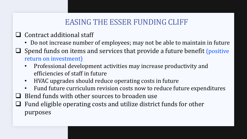# EASING THE ESSER FUNDING CLIFF

- ❑ Contract additional staff
	- Do not increase number of employees; may not be able to maintain in future
- $\Box$  Spend funds on items and services that provide a future benefit (positive return on investment)
	- Professional development activities may increase productivity and efficiencies of staff in future
	- HVAC upgrades should reduce operating costs in future
	- Fund future curriculum revision costs now to reduce future expenditures
- ❑ Blend funds with other sources to broaden use
- $\Box$  Fund eligible operating costs and utilize district funds for other purposes